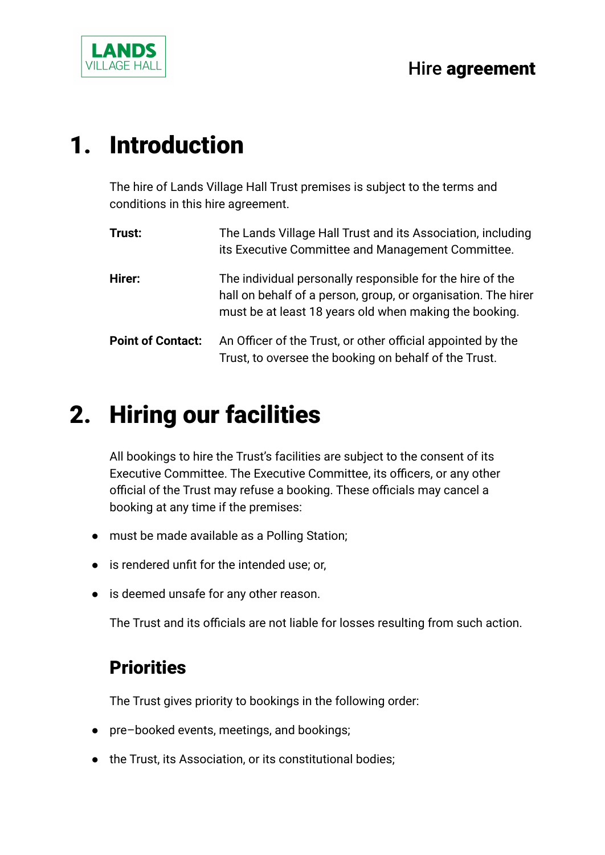

## 1. Introduction

The hire of Lands Village Hall Trust premises is subject to the terms and conditions in this hire agreement.

| Trust:                   | The Lands Village Hall Trust and its Association, including<br>its Executive Committee and Management Committee.                                                                     |
|--------------------------|--------------------------------------------------------------------------------------------------------------------------------------------------------------------------------------|
| Hirer:                   | The individual personally responsible for the hire of the<br>hall on behalf of a person, group, or organisation. The hirer<br>must be at least 18 years old when making the booking. |
| <b>Point of Contact:</b> | An Officer of the Trust, or other official appointed by the<br>Trust, to oversee the booking on behalf of the Trust.                                                                 |

# 2. Hiring our facilities

All bookings to hire the Trust's facilities are subject to the consent of its Executive Committee. The Executive Committee, its officers, or any other official of the Trust may refuse a booking. These officials may cancel a booking at any time if the premises:

- must be made available as a Polling Station;
- is rendered unfit for the intended use; or,
- is deemed unsafe for any other reason.

The Trust and its officials are not liable for losses resulting from such action.

### **Priorities**

The Trust gives priority to bookings in the following order:

- pre–booked events, meetings, and bookings;
- the Trust, its Association, or its constitutional bodies;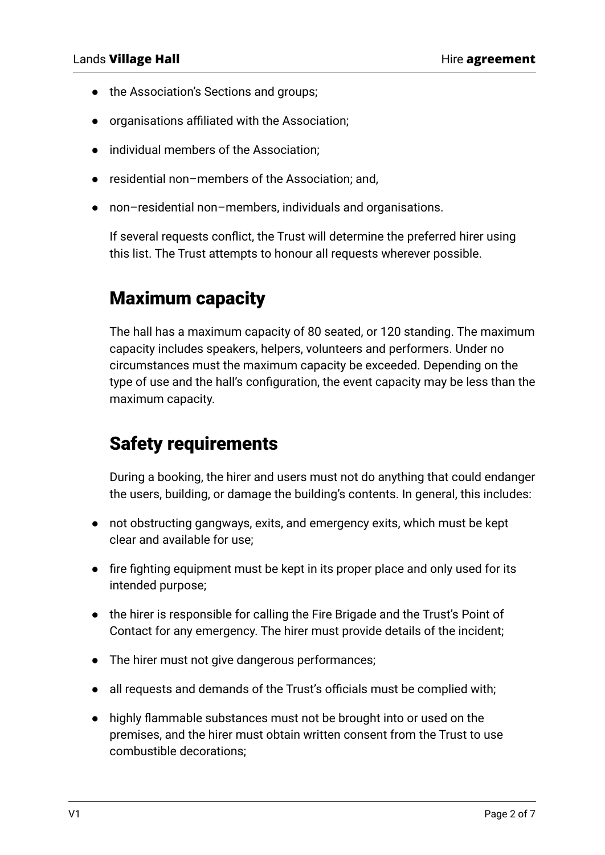- the Association's Sections and groups;
- organisations affiliated with the Association;
- individual members of the Association;
- residential non-members of the Association; and,
- non–residential non–members, individuals and organisations.

If several requests conflict, the Trust will determine the preferred hirer using this list. The Trust attempts to honour all requests wherever possible.

#### Maximum capacity

The hall has a maximum capacity of 80 seated, or 120 standing. The maximum capacity includes speakers, helpers, volunteers and performers. Under no circumstances must the maximum capacity be exceeded. Depending on the type of use and the hall's configuration, the event capacity may be less than the maximum capacity.

#### Safety requirements

During a booking, the hirer and users must not do anything that could endanger the users, building, or damage the building's contents. In general, this includes:

- not obstructing gangways, exits, and emergency exits, which must be kept clear and available for use;
- fire fighting equipment must be kept in its proper place and only used for its intended purpose;
- the hirer is responsible for calling the Fire Brigade and the Trust's Point of Contact for any emergency. The hirer must provide details of the incident;
- The hirer must not give dangerous performances;
- all requests and demands of the Trust's officials must be complied with;
- highly flammable substances must not be brought into or used on the premises, and the hirer must obtain written consent from the Trust to use combustible decorations;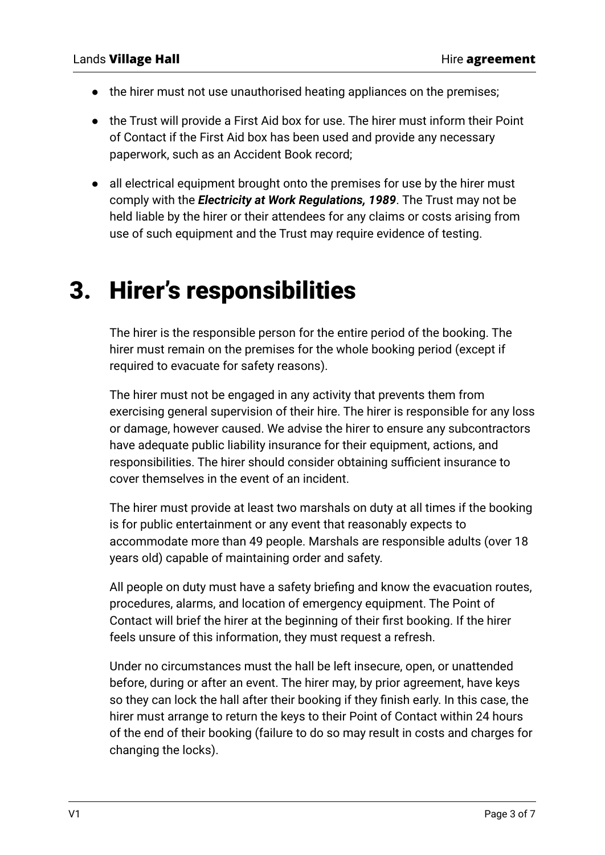- the hirer must not use unauthorised heating appliances on the premises;
- the Trust will provide a First Aid box for use. The hirer must inform their Point of Contact if the First Aid box has been used and provide any necessary paperwork, such as an Accident Book record;
- all electrical equipment brought onto the premises for use by the hirer must comply with the *Electricity at Work Regulations, 1989*. The Trust may not be held liable by the hirer or their attendees for any claims or costs arising from use of such equipment and the Trust may require evidence of testing.

### 3. Hirer's responsibilities

The hirer is the responsible person for the entire period of the booking. The hirer must remain on the premises for the whole booking period (except if required to evacuate for safety reasons).

The hirer must not be engaged in any activity that prevents them from exercising general supervision of their hire. The hirer is responsible for any loss or damage, however caused. We advise the hirer to ensure any subcontractors have adequate public liability insurance for their equipment, actions, and responsibilities. The hirer should consider obtaining sufficient insurance to cover themselves in the event of an incident.

The hirer must provide at least two marshals on duty at all times if the booking is for public entertainment or any event that reasonably expects to accommodate more than 49 people. Marshals are responsible adults (over 18 years old) capable of maintaining order and safety.

All people on duty must have a safety briefing and know the evacuation routes, procedures, alarms, and location of emergency equipment. The Point of Contact will brief the hirer at the beginning of their first booking. If the hirer feels unsure of this information, they must request a refresh.

Under no circumstances must the hall be left insecure, open, or unattended before, during or after an event. The hirer may, by prior agreement, have keys so they can lock the hall after their booking if they finish early. In this case, the hirer must arrange to return the keys to their Point of Contact within 24 hours of the end of their booking (failure to do so may result in costs and charges for changing the locks).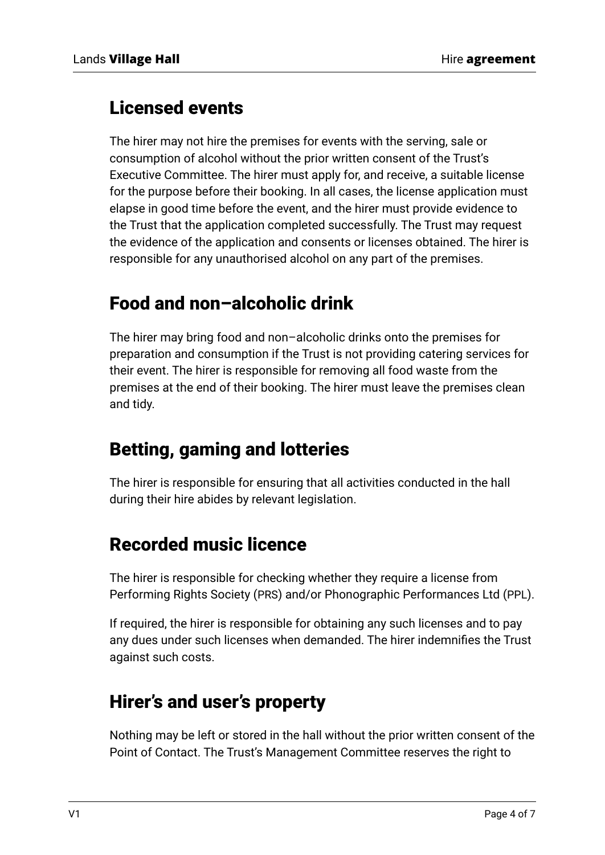#### Licensed events

The hirer may not hire the premises for events with the serving, sale or consumption of alcohol without the prior written consent of the Trust's Executive Committee. The hirer must apply for, and receive, a suitable license for the purpose before their booking. In all cases, the license application must elapse in good time before the event, and the hirer must provide evidence to the Trust that the application completed successfully. The Trust may request the evidence of the application and consents or licenses obtained. The hirer is responsible for any unauthorised alcohol on any part of the premises.

#### Food and non–alcoholic drink

The hirer may bring food and non–alcoholic drinks onto the premises for preparation and consumption if the Trust is not providing catering services for their event. The hirer is responsible for removing all food waste from the premises at the end of their booking. The hirer must leave the premises clean and tidy.

#### Betting, gaming and lotteries

The hirer is responsible for ensuring that all activities conducted in the hall during their hire abides by relevant legislation.

#### Recorded music licence

The hirer is responsible for checking whether they require a license from Performing Rights Society (PRS) and/or Phonographic Performances Ltd (PPL).

If required, the hirer is responsible for obtaining any such licenses and to pay any dues under such licenses when demanded. The hirer indemnifies the Trust against such costs.

#### Hirer's and user's property

Nothing may be left or stored in the hall without the prior written consent of the Point of Contact. The Trust's Management Committee reserves the right to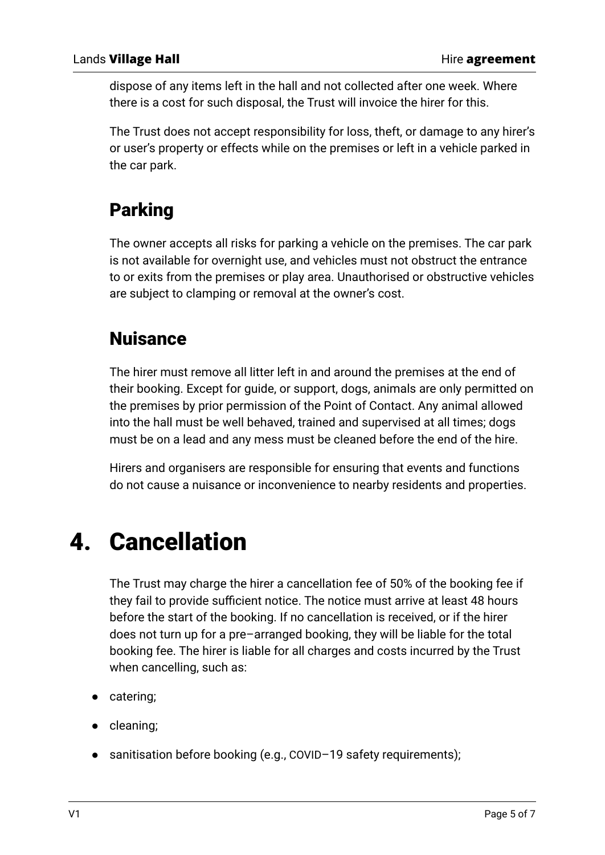dispose of any items left in the hall and not collected after one week. Where there is a cost for such disposal, the Trust will invoice the hirer for this.

The Trust does not accept responsibility for loss, theft, or damage to any hirer's or user's property or effects while on the premises or left in a vehicle parked in the car park.

### Parking

The owner accepts all risks for parking a vehicle on the premises. The car park is not available for overnight use, and vehicles must not obstruct the entrance to or exits from the premises or play area. Unauthorised or obstructive vehicles are subject to clamping or removal at the owner's cost.

#### Nuisance

The hirer must remove all litter left in and around the premises at the end of their booking. Except for guide, or support, dogs, animals are only permitted on the premises by prior permission of the Point of Contact. Any animal allowed into the hall must be well behaved, trained and supervised at all times; dogs must be on a lead and any mess must be cleaned before the end of the hire.

Hirers and organisers are responsible for ensuring that events and functions do not cause a nuisance or inconvenience to nearby residents and properties.

## 4. Cancellation

The Trust may charge the hirer a cancellation fee of 50% of the booking fee if they fail to provide sufficient notice. The notice must arrive at least 48 hours before the start of the booking. If no cancellation is received, or if the hirer does not turn up for a pre–arranged booking, they will be liable for the total booking fee. The hirer is liable for all charges and costs incurred by the Trust when cancelling, such as:

- catering;
- cleaning;
- sanitisation before booking (e.g., COVID-19 safety requirements);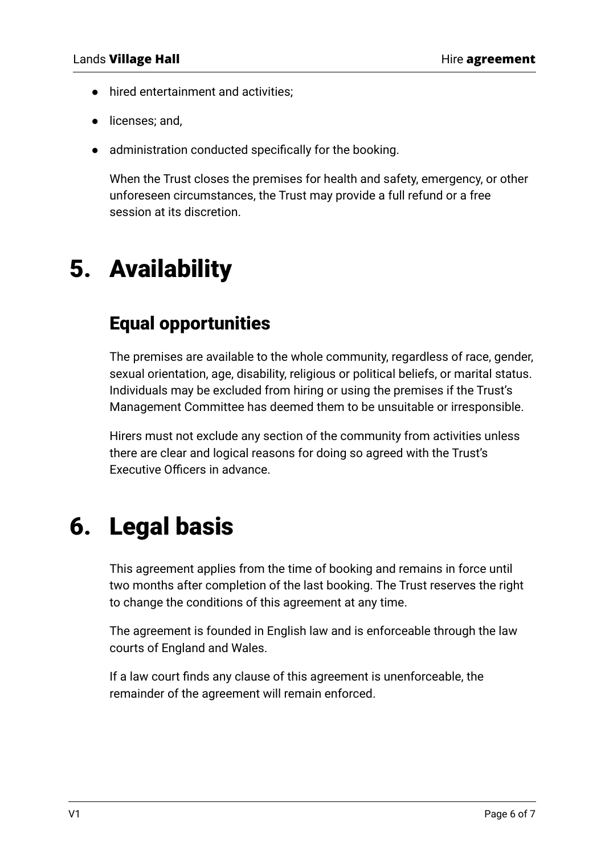- hired entertainment and activities;
- licenses; and,
- administration conducted specifically for the booking.

When the Trust closes the premises for health and safety, emergency, or other unforeseen circumstances, the Trust may provide a full refund or a free session at its discretion.

# 5. Availability

#### Equal opportunities

The premises are available to the whole community, regardless of race, gender, sexual orientation, age, disability, religious or political beliefs, or marital status. Individuals may be excluded from hiring or using the premises if the Trust's Management Committee has deemed them to be unsuitable or irresponsible.

Hirers must not exclude any section of the community from activities unless there are clear and logical reasons for doing so agreed with the Trust's Executive Officers in advance.

## 6. Legal basis

This agreement applies from the time of booking and remains in force until two months after completion of the last booking. The Trust reserves the right to change the conditions of this agreement at any time.

The agreement is founded in English law and is enforceable through the law courts of England and Wales.

If a law court finds any clause of this agreement is unenforceable, the remainder of the agreement will remain enforced.